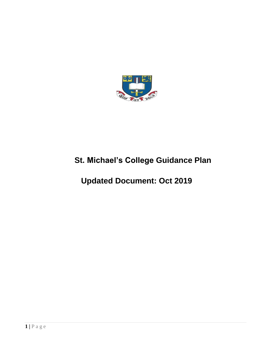

# **St. Michael's College Guidance Plan**

# **Updated Document: Oct 2019**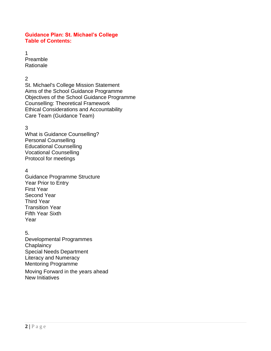### **Guidance Plan: St. Michael's College Table of Contents:**

1 Preamble **Rationale** 

### $\mathfrak{p}$

St. Michael's College Mission Statement Aims of the School Guidance Programme Objectives of the School Guidance Programme Counselling: Theoretical Framework Ethical Considerations and Accountability Care Team (Guidance Team)

### 3

What is Guidance Counselling? Personal Counselling Educational Counselling Vocational Counselling Protocol for meetings

### 4

Guidance Programme Structure Year Prior to Entry First Year Second Year Third Year Transition Year Fifth Year Sixth Year

### 5.

Developmental Programmes **Chaplaincy** Special Needs Department Literacy and Numeracy Mentoring Programme

Moving Forward in the years ahead New Initiatives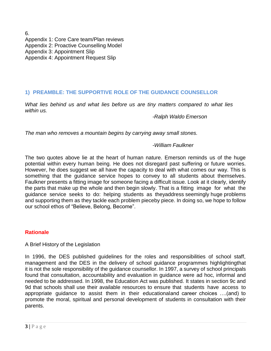6. Appendix 1: Core Care team/Plan reviews Appendix 2: Proactive Counselling Model Appendix 3: Appointment Slip Appendix 4: Appointment Request Slip

### **1) PREAMBLE: THE SUPPORTIVE ROLE OF THE GUIDANCE COUNSELLOR**

*What lies behind us and what lies before us are tiny matters compared to what lies within us.*

*-Ralph Waldo Emerson*

*The man who removes a mountain begins by carrying away small stones.*

*-William Faulkner*

The two quotes above lie at the heart of human nature. Emerson reminds us of the huge potential within every human being. He does not disregard past suffering or future worries. However, he does suggest we all have the capacity to deal with what comes our way. This is something that the guidance service hopes to convey to all students about themselves. Faulkner presents a fitting image for someone facing a difficult issue. Look at it clearly, identify the parts that make up the whole and then begin slowly. That is a fitting image for what the guidance service seeks to do: helping students as theyaddress seemingly huge problems and supporting them as they tackle each problem pieceby piece. In doing so, we hope to follow our school ethos of "Believe, Belong, Become".

### **Rationale**

A Brief History of the Legislation

In 1996, the DES published guidelines for the roles and responsibilities of school staff, management and the DES in the delivery of school guidance programmes highlightingthat it is not the sole responsibility of the guidance counsellor. In 1997, a survey of school principals found that consultation, accountability and evaluation in guidance were ad hoc, informal and needed to be addressed. In 1998, the Education Act was published. It states in section 9c and 9d that schools shall use their available resources to ensure that students have access to appropriate guidance to assist them in their educationaland career choices ….(and) to promote the moral, spiritual and personal development of students in consultation with their parents.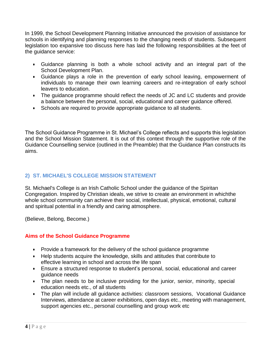In 1999, the School Development Planning Initiative announced the provision of assistance for schools in identifying and planning responses to the changing needs of students. Subsequent legislation too expansive too discuss here has laid the following responsibilities at the feet of the guidance service:

- Guidance planning is both a whole school activity and an integral part of the School Development Plan.
- Guidance plays a role in the prevention of early school leaving, empowerment of individuals to manage their own learning careers and re-integration of early school leavers to education.
- The guidance programme should reflect the needs of JC and LC students and provide a balance between the personal, social, educational and career guidance offered.
- Schools are required to provide appropriate guidance to all students.

The School Guidance Programme in St. Michael's College reflects and supports this legislation and the School Mission Statement. It is out of this context through the supportive role of the Guidance Counselling service (outlined in the Preamble) that the Guidance Plan constructs its aims.

### **2) ST. MICHAEL'S COLLEGE MISSION STATEMENT**

St. Michael's College is an Irish Catholic School under the guidance of the Spiritan Congregation. Inspired by Christian ideals, we strive to create an environment in whichthe whole school community can achieve their social, intellectual, physical, emotional, cultural and spiritual potential in a friendly and caring atmosphere.

(Believe, Belong, Become.)

### **Aims of the School Guidance Programme**

- Provide a framework for the delivery of the school guidance programme
- Help students acquire the knowledge, skills and attitudes that contribute to effective learning in school and across the life span
- Ensure a structured response to student's personal, social, educational and career guidance needs
- The plan needs to be inclusive providing for the junior, senior, minority, special education needs etc., of all students
- The plan will include all guidance activities: classroom sessions, Vocational Guidance Interviews, attendance at career exhibitions, open days etc., meeting with management, support agencies etc., personal counselling and group work etc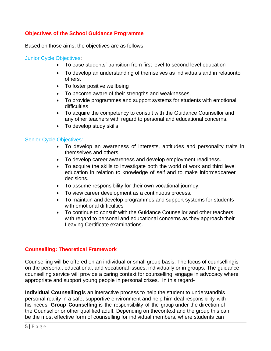### **Objectives of the School Guidance Programme**

Based on those aims, the objectives are as follows:

#### Junior Cycle Objectives:

- To ease students' transition from first level to second level education
- To develop an understanding of themselves as individuals and in relationto others.
- To foster positive wellbeing
- To become aware of their strengths and weaknesses.
- To provide programmes and support systems for students with emotional difficulties
- To acquire the competency to consult with the Guidance Counsellor and any other teachers with regard to personal and educational concerns.
- To develop study skills.

### Senior-Cycle Objectives:

- To develop an awareness of interests, aptitudes and personality traits in themselves and others.
- To develop career awareness and develop employment readiness.
- To acquire the skills to investigate both the world of work and third level education in relation to knowledge of self and to make informedcareer decisions.
- To assume responsibility for their own vocational journey.
- To view career development as a continuous process.
- To maintain and develop programmes and support systems for students with emotional difficulties
- To continue to consult with the Guidance Counsellor and other teachers with regard to personal and educational concerns as they approach their Leaving Certificate examinations.

### **Counselling: Theoretical Framework**

Counselling will be offered on an individual or small group basis. The focus of counsellingis on the personal, educational, and vocational issues, individually or in groups. The guidance counselling service will provide a caring context for counselling, engage in advocacy where appropriate and support young people in personal crises. In this regard-

**Individual Counselling**is an interactive process to help the student to understandhis personal reality in a safe, supportive environment and help him deal responsibility with his needs. **Group Counselling** is the responsibility of the group under the direction of the Counsellor or other qualified adult. Depending on thecontext and the group this can be the most effective form of counselling for individual members, where students can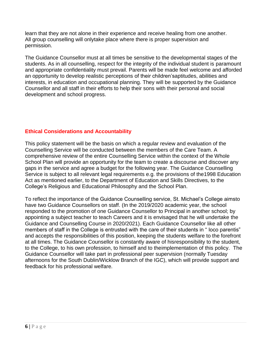learn that they are not alone in their experience and receive healing from one another. All group counselling will onlytake place where there is proper supervision and permission.

The Guidance Counsellor must at all times be sensitive to the developmental stages of the students. As in all counselling, respect for the integrity of the individual student is paramount and appropriate confidentiality must prevail. Parents will be made feel welcome and afforded an opportunity to develop realistic perceptions of their children'saptitudes, abilities and interests, in education and occupational planning. They will be supported by the Guidance Counsellor and all staff in their efforts to help their sons with their personal and social development and school progress.

### **Ethical Considerations and Accountability**

This policy statement will be the basis on which a regular review and evaluation of the Counselling Service will be conducted between the members of the Care Team. A comprehensive review of the entire Counselling Service within the context of the Whole School Plan will provide an opportunity for the team to create a discourse and discover any gaps in the service and agree a budget for the following year. The Guidance Counselling Service is subject to all relevant legal requirements e.g. the provisions of the1998 Education Act as mentioned earlier, to the Department of Education and Skills Directives, to the College's Religious and Educational Philosophy and the School Plan.

To reflect the importance of the Guidance Counselling service, St. Michael's College aimsto have two Guidance Counsellors on staff. (In the 2019/2020 academic year, the school responded to the promotion of one Guidance Counsellor to Principal in another school; by appointing a subject teacher to teach Careers and it is envisaged that he will undertake the Guidance and Counselling Course in 2020/2021). Each Guidance Counsellor like all other members of staff in the College is entrusted with the care of their students in " loco parentis" and accepts the responsibilities of this position, keeping the students welfare to the forefront at all times. The Guidance Counsellor is constantly aware of hisresponsibility to the student, to the College, to his own profession, to himself and to theimplementation of this policy. The Guidance Counsellor will take part in professional peer supervision (normally Tuesday afternoons for the South Dublin/Wicklow Branch of the IGC), which will provide support and feedback for his professional welfare.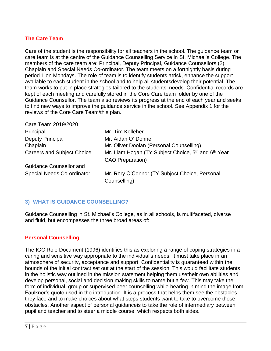### **The Care Team**

Care of the student is the responsibility for all teachers in the school. The guidance team or care team is at the centre of the Guidance Counselling Service in St. Michael's College. The members of the care team are; Principal, Deputy Principal, Guidance Counsellors (2), Chaplain and Special Needs Co-ordinator. The team meets on a fortnightly basis during period 1 on Mondays. The role of team is to identify students atrisk, enhance the support available to each student in the school and to help all studentsdevelop their potential. The team works to put in place strategies tailored to the students' needs. Confidential records are kept of each meeting and carefully stored in the Core Care team folder by one of the Guidance Counsellor. The team also reviews its progress at the end of each year and seeks to find new ways to improve the guidance service in the school. See Appendix 1 for the reviews of the Core Care Team/this plan.

| Mr. Tim Kelleher                                                                                       |
|--------------------------------------------------------------------------------------------------------|
| Mr. Aidan O' Donnell                                                                                   |
| Mr. Oliver Doolan (Personal Counselling)                                                               |
| Mr. Liam Hogan (TY Subject Choice, 5 <sup>th</sup> and 6 <sup>th</sup> Year<br><b>CAO Preparation)</b> |
|                                                                                                        |
| Mr. Rory O'Connor (TY Subject Choice, Personal<br>Counselling)                                         |
|                                                                                                        |

### **3) WHAT IS GUIDANCE COUNSELLING?**

Guidance Counselling in St. Michael's College, as in all schools, is multifaceted, diverse and fluid, but encompasses the three broad areas of:

### **Personal Counselling**

Care Team 2010/2020

The IGC Role Document (1996) identifies this as exploring a range of coping strategies in a caring and sensitive way appropriate to the individual's needs. It must take place in an atmosphere of security, acceptance and support. Confidentiality is guaranteed within the bounds of the initial contract set out at the start of the session. This would facilitate students in the holistic way outlined in the mission statement helping them usetheir own abilities and develop personal, social and decision making skills to name but a few. This may take the form of individual, group or supervised peer counselling while bearing in mind the image from Faulkner's quote used in the introduction. It is a process that helps them see the obstacles they face and to make choices about what steps students want to take to overcome those obstacles. Another aspect of personal guidanceis to take the role of intermediary between pupil and teacher and to steer a middle course, which respects both sides.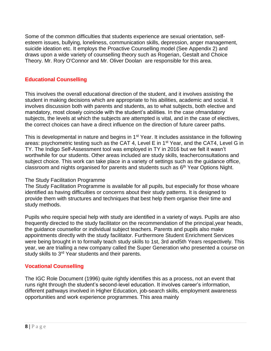Some of the common difficulties that students experience are sexual orientation, selfesteem issues, bullying, loneliness, communication skills, depression, anger management, suicide ideation etc. It employs the Proactive Counselling model (See Appendix 2) and draws upon a wide variety of counselling theory such as Rogerian, Gestalt and Choice Theory. Mr. Rory O'Connor and Mr. Oliver Doolan are responsible for this area.

### **Educational Counselling**

This involves the overall educational direction of the student, and it involves assisting the student in making decisions which are appropriate to his abilities, academic and social. It involves discussion both with parents and students, as to what subjects, both elective and mandatory, most closely coincide with the student's abilities. In the case ofmandatory subjects, the levels at which the subjects are attempted is vital, and in the case of electives, the correct choices can have a direct influence on the direction of future career paths.

This is developmental in nature and begins in 1<sup>st</sup> Year. It includes assistance in the following areas: psychometric testing such as the CAT 4, Level E in 1<sup>st</sup> Year, and the CAT4, Level G in TY. The Indigo Self-Assessment tool was employed in TY in 2016 but we felt it wasn't worthwhile for our students. Other areas included are study skills, teacherconsultations and subject choice. This work can take place in a variety of settings such as the guidance office, classroom and nights organised for parents and students such as 6<sup>th</sup> Year Options Night.

### The Study Facilitation Programme

The Study Facilitation Programme is available for all pupils, but especially for those whoare identified as having difficulties or concerns about their study patterns. It is designed to provide them with structures and techniques that best help them organise their time and study methods.

Pupils who require special help with study are identified in a variety of ways. Pupils are also frequently directed to the study facilitator on the recommendation of the principal,year heads, the guidance counsellor or individual subject teachers. Parents and pupils also make appointments directly with the study facilitator. Furthermore Student Enrichment Services were being brought in to formally teach study skills to 1st, 3rd and5th Years respectively. This year, we are trialling a new company called the Super Generation who presented a course on study skills to 3<sup>rd</sup> Year students and their parents.

### **Vocational Counselling**

The IGC Role Document (1996) quite rightly identifies this as a process, not an event that runs right through the student's second-level education. It involves career's information, different pathways involved in Higher Education, job-search skills, employment awareness opportunities and work experience programmes. This area mainly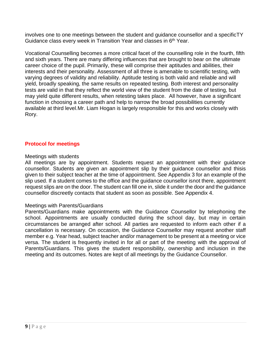involves one to one meetings between the student and guidance counsellor and a specificTY Guidance class every week in Transition Year and classes in 6<sup>th</sup> Year.

Vocational Counselling becomes a more critical facet of the counselling role in the fourth, fifth and sixth years. There are many differing influences that are brought to bear on the ultimate career choice of the pupil. Primarily, these will comprise their aptitudes and abilities, their interests and their personality. Assessment of all three is amenable to scientific testing, with varying degrees of validity and reliability. Aptitude testing is both valid and reliable and will yield, broadly speaking, the same results on repeated testing. Both interest and personality tests are valid in that they reflect the world view of the student from the date of testing, but may yield quite different results, when retesting takes place. All however, have a significant function in choosing a career path and help to narrow the broad possibilities currently available at third level.Mr. Liam Hogan is largely responsible for this and works closely with Rory.

### **Protocol for meetings**

### Meetings with students

All meetings are by appointment. Students request an appointment with their guidance counsellor. Students are given an appointment slip by their guidance counsellor and thisis given to their subject teacher at the time of appointment. See Appendix 3 for an example of the slip used. If a student comes to the office and the guidance counsellor isnot there, appointment request slips are on the door. The student can fill one in, slide it under the door and the guidance counsellor discreetly contacts that student as soon as possible. See Appendix 4.

### Meetings with Parents/Guardians

Parents/Guardians make appointments with the Guidance Counsellor by telephoning the school. Appointments are usually conducted during the school day, but may in certain circumstances be arranged after school. All parties are requested to inform each other if a cancellation is necessary. On occasion, the Guidance Counsellor may request another staff member e.g. Year head, subject teacher and/or management to be present at a meeting or vice versa. The student is frequently invited in for all or part of the meeting with the approval of Parents/Guardians. This gives the student responsibility, ownership and inclusion in the meeting and its outcomes. Notes are kept of all meetings by the Guidance Counsellor.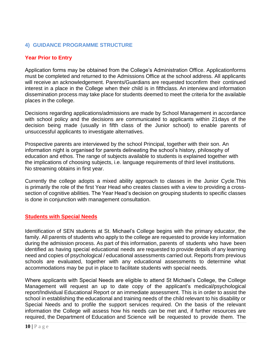### **4) GUIDANCE PROGRAMME STRUCTURE**

### **Year Prior to Entry**

Application forms may be obtained from the College's Administration Office. Applicationforms must be completed and returned to the Admissions Office at the school address. All applicants will receive an acknowledgement. Parents/Guardians are requested toconfirm their continued interest in a place in the College when their child is in fifthclass. An interview and information dissemination process may take place for students deemed to meet the criteria for the available places in the college.

Decisions regarding applications/admissions are made by School Management in accordance with school policy and the decisions are communicated to applicants within 21days of the decision being made (usually in fifth class of the Junior school) to enable parents of unsuccessful applicants to investigate alternatives.

Prospective parents are interviewed by the school Principal, together with their son. An information night is organised for parents delineating the school's history, philosophy of education and ethos. The range of subjects available to students is explained together with the implications of choosing subjects, i.e. language requirements of third level institutions. No streaming obtains in first year.

Currently the college adopts a mixed ability approach to classes in the Junior Cycle.This is primarily the role of the first Year Head who creates classes with a view to providing a crosssection of cognitive abilities. The Year Head's decision on grouping students to specific classes is done in conjunction with management consultation.

### **Students with Special Needs**

Identification of SEN students at St. Michael's College begins with the primary educator, the family. All parents of students who apply to the college are requested to provide key information during the admission process. As part of this information, parents of students who have been identified as having special educational needs are requested to provide details of any learning need and copies of psychological / educational assessments carried out. Reports from previous schools are evaluated, together with any educational assessments to determine what accommodations may be put in place to facilitate students with special needs.

Where applicants with Special Needs are eligible to attend St Michael's College, the College Management will request an up to date copy of the applicant's medical/psychological report/Individual Educational Report or an immediate assessment. This is in order to assist the school in establishing the educational and training needs of the child relevant to his disability or Special Needs and to profile the support services required. On the basis of the relevant information the College will assess how his needs can be met and, if further resources are required, the Department of Education and Science will be requested to provide them. The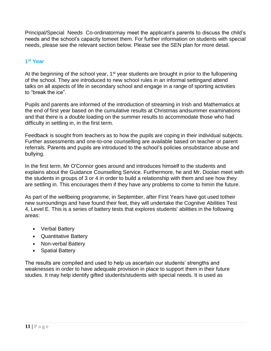Principal/Special Needs Co-ordinatormay meet the applicant's parents to discuss the child's needs and the school's capacity tomeet them. For further information on students with special needs, please see the relevant section below. Please see the SEN plan for more detail.

### **1 st Year**

At the beginning of the school year,  $1<sup>st</sup>$  year students are brought in prior to the fullopening of the school. They are introduced to new school rules in an informal settingand attend talks on all aspects of life in secondary school and engage in a range of sporting activities to "break the ice".

Pupils and parents are informed of the introduction of streaming in Irish and Mathematics at the end of first year based on the cumulative results at Christmas andsummer examinations and that there is a double loading on the summer results to accommodate those who had difficulty in settling in, in the first term.

Feedback is sought from teachers as to how the pupils are coping in their individual subjects. Further assessments and one-to-one counselling are available based on teacher or parent referrals. Parents and pupils are introduced to the school's policies onsubstance abuse and bullying.

In the first term, Mr O'Connor goes around and introduces himself to the students and explains about the Guidance Counselling Service. Furthermore, he and Mr. Doolan meet with the students in groups of 3 or 4 in order to build a relationship with them and see how they are settling in. This encourages them if they have any problems to come to himin the future.

As part of the wellbeing programme, in September, after First Years have got used totheir new surroundings and have found their feet, they will undertake the Cognitve Abilities Test 4, Level E. This is a series of battery tests that explores students' abilities in the following areas:

- Verbal Battery
- Quantitative Battery
- Non-verbal Battery
- Spatial Battery

The results are compiled and used to help us ascertain our students' strengths and weaknesses in order to have adequate provision in place to support them in their future studies. It may help identify gifted students/students with special needs. It is used as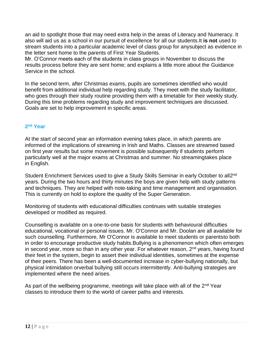an aid to spotlight those that may need extra help in the areas of Literacy and Numeracy. It also will aid us as a school in our pursuit of excellence for all our students.It **is not** used to stream students into a particular academic level of class group for anysubject as evidence in the letter sent home to the parents of First Year Students.

Mr. O'Connor meets each of the students in class groups in November to discuss the results process before they are sent home; and explains a little more about the Guidance Service in the school.

In the second term, after Christmas exams, pupils are sometimes identified who would benefit from additional individual help regarding study. They meet with the study facilitator, who goes through their study routine providing them with a timetable for their weekly study. During this time problems regarding study and improvement techniques are discussed. Goals are set to help improvement in specific areas.

### **2 nd Year**

At the start of second year an information evening takes place, in which parents are informed of the implications of streaming in Irish and Maths. Classes are streamed based on first year results but some movement is possible subsequently if students perform particularly well at the major exams at Christmas and summer. No streamingtakes place in English.

Student Enrichment Services used to give a Study Skills Seminar in early October to all2<sup>nd</sup> years. During the two hours and thirty minutes the boys are given help with study patterns and techniques. They are helped with note-taking and time management and organisation. This is currently on hold to explore the quality of the Super Generation.

Monitoring of students with educational difficulties continues with suitable strategies developed or modified as required.

Counselling is available on a one-to-one basis for students with behavioural difficulties educational, vocational or personal issues. Mr. O'Connor and Mr. Doolan are all available for such counselling. Furthermore, Mr O'Connor is available to meet students or parentsto both in order to encourage productive study habits.Bullying is a phenomenon which often emerges in second year, more so than in any other year. For whatever reason,  $2<sup>nd</sup>$  years, having found their feet in the system, begin to assert their individual identities, sometimes at the expense of their peers. There has been a well-documented increase in cyber-bullying nationally, but physical intimidation orverbal bullying still occurs intermittently. Anti-bullying strategies are implemented where the need arises.

As part of the wellbeing programme, meetings will take place with all of the 2<sup>nd</sup> Year classes to introduce them to the world of career paths and interests.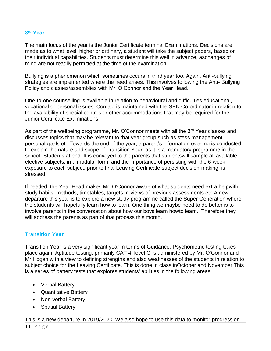### **3 rd Year**

The main focus of the year is the Junior Certificate terminal Examinations. Decisions are made as to what level, higher or ordinary, a student will take the subject papers, based on their individual capabilities. Students must determine this well in advance, aschanges of mind are not readily permitted at the time of the examination.

Bullying is a phenomenon which sometimes occurs in third year too. Again, Anti-bullying strategies are implemented where the need arises. This involves following the Anti- Bullying Policy and classes/assemblies with Mr. O'Connor and the Year Head.

One-to-one counselling is available in relation to behavioural and difficulties educational, vocational or personal issues. Contact is maintained with the SEN Co-ordinator in relation to the availability of special centres or other accommodations that may be required for the Junior Certificate Examinations.

As part of the wellbeing programme, Mr. O'Connor meets with all the 3<sup>rd</sup> Year classes and discusses topics that may be relevant to that year group such as stess management, personal goals etc.Towards the end of the year, a parent's information evening is conducted to explain the nature and scope of Transition Year, as it is a mandatory programme in the school. Students attend. It is conveyed to the parents that studentswill sample all available elective subjects, in a modular form, and the importance of persisting with the 6-week exposure to each subject, prior to final Leaving Certificate subject decision-making, is stressed.

If needed, the Year Head makes Mr. O'Connor aware of what students need extra helpwith study habits, methods, timetables, targets, reviews of previous assessments etc.A new departure this year is to explore a new study programme called the Super Generation where the students will hopefully learn how to learn. One thing we maybe need to do better is to involve parents in the conversation about how our boys learn howto learn. Therefore they will address the parents as part of that process this month.

### **Transition Year**

Transition Year is a very significant year in terms of Guidance. Psychometric testing takes place again. Aptitude testing, primarily CAT 4, level G is administered by Mr. O'Connor and Mr Hogan with a view to defining strengths and also weaknesses of the students in relation to subject choice for the Leaving Certificate. This is done in class inOctober and November.This is a series of battery tests that explores students' abilities in the following areas:

- Verbal Battery
- Quantitative Battery
- Non-verbal Battery
- Spatial Battery

This is a new departure in 2019/2020. We also hope to use this data to monitor progression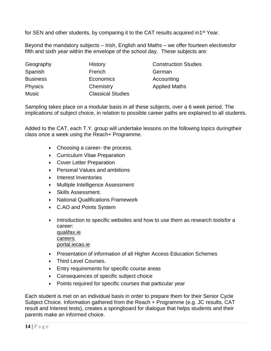for SEN and other students, by comparing it to the CAT results acquired in1<sup>st</sup> Year.

Beyond the mandatory subjects – Irish, English and Maths – we offer fourteen electivesfor fifth and sixth year within the envelope of the school day. These subjects are:

| Geography       | History                  | <b>Construction Studies</b> |
|-----------------|--------------------------|-----------------------------|
| Spanish         | French                   | German                      |
| <b>Business</b> | Economics                | Accounting                  |
| <b>Physics</b>  | Chemistry                | <b>Applied Maths</b>        |
| <b>Music</b>    | <b>Classical Studies</b> |                             |

Sampling takes place on a modular basis in all these subjects, over a 6 week period. The implications of subject choice, in relation to possible career paths are explained to all students.

Added to the CAT, each T.Y. group will undertake lessons on the following topics duringtheir class once a week using the Reach+ Programme.

- Choosing a career- the process.
- Curriculum Vitae Preparation
- Cover Letter Preparation
- Personal Values and ambitions
- Interest Inventories
- Multiple Intelligence Assessment
- Skills Assessment.
- National Qualifications Framework
- C.AO and Points System
- Introduction to specific websites and how to use them as research tools for a career: qualifax.ie careers portal.iecao.ie
- Presentation of information of all Higher Access Education Schemes
- Third Level Courses.
- **Entry requirements for specific course areas**
- Consequences of specific subject choice
- Points required for specific courses that particular year

Each student is met on an individual basis in order to prepare them for their Senior Cycle Subject Choice. Information gathered from the Reach + Programme (e.g. JC results, CAT result and Interest tests), creates a springboard for dialogue that helps students and their parents make an informed choice.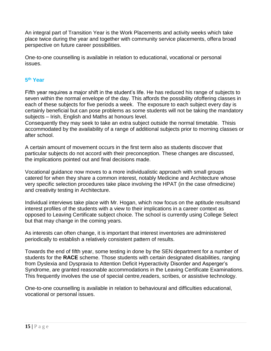An integral part of Transition Year is the Work Placements and activity weeks which take place twice during the year and together with community service placements, offera broad perspective on future career possibilities.

One-to-one counselling is available in relation to educational, vocational or personal issues.

### **5 th Year**

Fifth year requires a major shift in the student's life. He has reduced his range of subjects to seven within the normal envelope of the day. This affords the possibility ofoffering classes in each of these subjects for five periods a week. The exposure to each subject every day is certainly beneficial but can pose problems as some students will not be taking the mandatory subjects – Irish, English and Maths at honours level.

Consequently they may seek to take an extra subject outside the normal timetable. Thisis accommodated by the availability of a range of additional subjects prior to morning classes or after school.

A certain amount of movement occurs in the first term also as students discover that particular subjects do not accord with their preconception. These changes are discussed, the implications pointed out and final decisions made.

Vocational guidance now moves to a more individualistic approach with small groups catered for when they share a common interest, notably Medicine and Architecture whose very specific selection procedures take place involving the HPAT (in the case ofmedicine) and creativity testing in Architecture.

Individual interviews take place with Mr. Hogan, which now focus on the aptitude resultsand interest profiles of the students with a view to their implications in a career context as opposed to Leaving Certificate subject choice. The school is currently using College Select but that may change in the coming years.

As interests can often change, it is important that interest inventories are administered periodically to establish a relatively consistent pattern of results.

Towards the end of fifth year, some testing in done by the SEN department for a number of students for the **RACE** scheme. Those students with certain designated disabilities, ranging from Dyslexia and Dyspraxia to Attention Deficit Hyperactivity Disorder and Asperger's Syndrome, are granted reasonable accommodations in the Leaving Certificate Examinations. This frequently involves the use of special centre,readers, scribes, or assistive technology.

One-to-one counselling is available in relation to behavioural and difficulties educational, vocational or personal issues.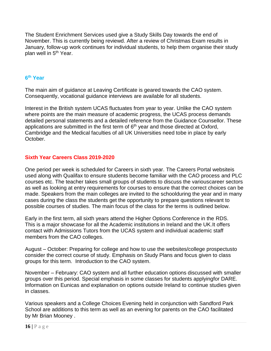The Student Enrichment Services used give a Study Skills Day towards the end of November. This is currently being reviewd. After a review of Christmas Exam results in January, follow-up work continues for individual students, to help them organise their study plan well in 5<sup>th</sup> Year.

### **6 th Year**

The main aim of guidance at Leaving Certificate is geared towards the CAO system. Consequently, vocational guidance interviews are available for all students.

Interest in the British system UCAS fluctuates from year to year. Unlike the CAO system where points are the main measure of academic progress, the UCAS process demands detailed personal statements and a detailed reference from the Guidance Counsellor. These applications are submitted in the first term of  $6<sup>th</sup>$  year and those directed at Oxford, Cambridge and the Medical faculties of all UK Universities need tobe in place by early October.

### **Sixth Year Careers Class 2019-2020**

One period per week is scheduled for Careers in sixth year. The Careers Portal websiteis used along with Qualifax to ensure students become familiar with the CAO process and PLC courses etc. The teacher takes small groups of students to discuss the variouscareer sectors as well as looking at entry requirements for courses to ensure that the correct choices can be made. Speakers from the main colleges are invited to the schoolduring the year and in many cases during the class the students get the opportunity to prepare questions relevant to possible courses of studies. The main focus of the class for the terms is outlined below.

Early in the first term, all sixth years attend the Higher Options Conference in the RDS. This is a major showcase for all the Academic institutions in Ireland and the UK.It offers contact with Admissions Tutors from the UCAS system and individual academic staff members from the CAO colleges.

August – October: Preparing for college and how to use the websites/college prospectusto consider the correct course of study. Emphasis on Study Plans and focus given to class groups for this term. Introduction to the CAO system.

November – February: CAO system and all further education options discussed with smaller groups over this period. Special emphasis in some classes for students applyingfor DARE. Information on Eunicas and explanation on options outside Ireland to continue studies given in classes.

Various speakers and a College Choices Evening held in conjunction with Sandford Park School are additions to this term as well as an evening for parents on the CAO facilitated by Mr Brian Mooney .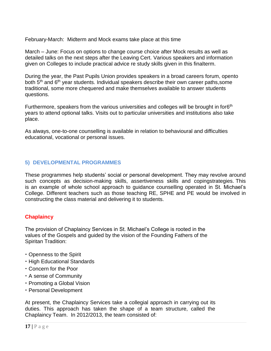February-March: Midterm and Mock exams take place at this time

March – June: Focus on options to change course choice after Mock results as well as detailed talks on the next steps after the Leaving Cert. Various speakers and information given on Colleges to include practical advice re study skills given in this finalterm.

During the year, the Past Pupils Union provides speakers in a broad careers forum, opento both 5<sup>th</sup> and 6<sup>th</sup> year students. Individual speakers describe their own career paths, some traditional, some more chequered and make themselves available to answer students questions.

Furthermore, speakers from the various universities and colleges will be brought in for6<sup>th</sup> years to attend optional talks. Visits out to particular universities and institutions also take place.

As always, one-to-one counselling is available in relation to behavioural and difficulties educational, vocational or personal issues.

### **5) DEVELOPMENTAL PROGRAMMES**

These programmes help students' social or personal development. They may revolve around such concepts as decision-making skills, assertiveness skills and copingstrategies. This is an example of whole school approach to guidance counselling operated in St. Michael's College. Different teachers such as those teaching RE, SPHE and PE would be involved in constructing the class material and delivering it to students.

### **Chaplaincy**

The provision of Chaplaincy Services in St. Michael's College is rooted in the values of the Gospels and guided by the vision of the Founding Fathers of the Spiritan Tradition:

- Openness to the Spirit
- High Educational Standards
- Concern for the Poor
- A sense of Community
- Promoting a Global Vision
- Personal Development

At present, the Chaplaincy Services take a collegial approach in carrying out its duties. This approach has taken the shape of a team structure, called the Chaplaincy Team. In 2012/2013, the team consisted of: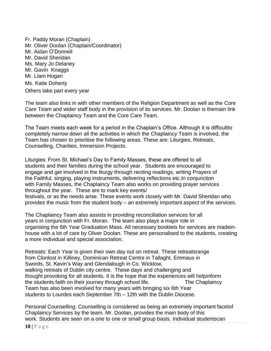Fr. Paddy Moran (Chaplain) Mr. Oliver Doolan (Chaplain/Coordinator) Mr. Aidan O'Donnell Mr. David Sheridan Ms. Mary Jo Delaney Mr. Gavin Knaggs Mr. Liam Hogan Ms. Katie Doherty Others take part every year

The team also links in with other members of the Religion Department as well as the Core Care Team and wider staff body in the provision of its services. Mr. Doolan is themain link between the Chaplaincy Team and the Core Care Team.

The Team meets each week for a period in the Chaplain's Office. Although it is difficultto completely narrow down all the activities in which the Chaplaincy Team is involved, the Team has chosen to prioritise the following areas. These are: Liturgies, Retreats, Counselling, Charities, Immersion Projects.

Liturgies: From St. Michael's Day to Family Masses, these are offered to all students and their families during the school year. Students are encouraged to engage and get involved in the liturgy through reciting readings, writing Prayers of the Faithful, singing, playing instruments, delivering reflections etc.In conjunction with Family Masses, the Chaplaincy Team also works on providing prayer services throughout the year. These are to mark key events/ festivals, or as the needs arise. These events work closely with Mr. David Sheridan who provides the music from the student body – an extremely important aspect of the services.

The Chaplaincy Team also assists in providing reconciliation services for all years in conjunction with Fr. Moran. The team also plays a major role in organising the 6th Year Graduation Mass. All necessary booklets for services are madeinhouse with a lot of care by Oliver Doolan. These are personalised to the students, creating a more individual and special association.

Retreats: Each Year is given their own day out on retreat. These retreatsrange from Clonlost in Killiney, Dominican Retreat Centre in Tallaght, Emmaus in Swords, St. Kevin's Way and Glendalough in Co. Wicklow, walking retreats of Dublin city centre. These days and challenging and thought provoking for all students. It is the hope that the experiences will helpinform the students faith on their journey through school life. The Chaplaincy Team has also been involved for many years with bringing six 6th Year students to Lourdes each September 7th – 12th with the Dublin Diocese.

Personal Counselling: Counselling is considered as being an extremely important facetof Chaplaincy Services by the team. Mr. Doolan, provides the main body of this work. Students are seen on a one to one or small group basis. Individual studentscan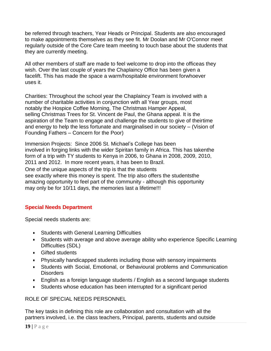be referred through teachers, Year Heads or Principal. Students are also encouraged to make appointments themselves as they see fit. Mr Doolan and Mr O'Connor meet regularly outside of the Core Care team meeting to touch base about the students that they are currently meeting.

All other members of staff are made to feel welcome to drop into the officeas they wish. Over the last couple of years the Chaplaincy Office has been given a facelift. This has made the space a warm/hospitable environment forwhoever uses it.

Charities: Throughout the school year the Chaplaincy Team is involved with a number of charitable activities in conjunction with all Year groups, most notably the Hospice Coffee Morning, The Christmas Hamper Appeal, selling Christmas Trees for St. Vincent de Paul, the Ghana appeal. It is the aspiration of the Team to engage and challenge the students to give of theirtime and energy to help the less fortunate and marginalised in our society – (Vision of Founding Fathers – Concern for the Poor)

Immersion Projects: Since 2006 St. Michael's College has been involved in forging links with the wider Spiritan family in Africa. This has takenthe form of a trip with TY students to Kenya in 2006, to Ghana in 2008, 2009, 2010, 2011 and 2012. In more recent years, it has been to Brazil. One of the unique aspects of the trip is that the students see exactly where this money is spent. The trip also offers the studentsthe amazing opportunity to feel part of the community - although this opportunity

may only be for 10/11 days, the memories last a lifetime!!!

### **Special Needs Department**

Special needs students are:

- Students with General Learning Difficulties
- Students with average and above average ability who experience Specific Learning Difficulties (SDL)
- Gifted students
- Physically handicapped students including those with sensory impairments
- Students with Social, Emotional, or Behavioural problems and Communication **Disorders**
- English as a foreign language students / English as a second language students
- Students whose education has been interrupted for a significant period

### ROLE OF SPECIAL NEEDS PERSONNEL

The key tasks in defining this role are collaboration and consultation with all the partners involved, i.e. the class teachers, Principal, parents, students and outside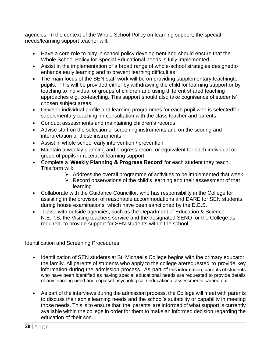agencies. In the context of the Whole School Policy on learning support, the special needs/learning support teacher will:

- Have a core role to play in school policy development and should ensure that the Whole School Policy for Special Educational needs is fully implemented
- Assist in the implementation of a broad range of whole-school strategies designedto enhance early learning and to prevent learning difficulties
- The main focus of the SEN staff work will be on providing supplementary teachingto pupils. This will be provided either by withdrawing the child for learning support or by teaching to individual or groups of children and using different shared teaching approaches e.g. co-teaching. This support should also take cognisance of students' chosen subject areas.
- Develop individual profile and learning programmes for each pupil who is selectedfor supplementary teaching, in consultation with the class teacher and parents
- Conduct assessments and maintaining children's records
- Advise staff on the selection of screening instruments and on the scoring and interpretation of these instruments
- Assist in whole school early intervention / prevention
- Maintain a weekly planning and progress record or equivalent for each individual or group of pupils in receipt of learning support
- Complete a '**Weekly Planning & Progress Record'** for each student they teach. This form will:
	- $\triangleright$  Address the overall programme of activities to be implemented that week
	- $\triangleright$  Record observations of the child's learning and their assessment of that learning
- Collaborate with the Guidance Councillor, who has responsibility in the College for assisting in the provision of reasonable accommodations and DARE for SEN students during house examinations, which have been sanctioned by the D.E.S.
- Liaise with outside agencies, such as the Department of Education & Science, N.E.P.S, the Visiting teachers service and the designated SENO for the College,as required, to provide support for SEN students within the school

Identification and Screening Procedures

- Identification of SEN students at St. Michael's College begins with the primary educator, the family. All parents of students who apply to the college arerequested to provide key information during the admission process. As part of this information, parents of students who have been identified as having special educational needs are requested to provide details of any learning need and copiesof psychological / educational assessments carried out.
- As part of the interviews during the admission process, the College will meet with parents to discuss their son's learning needs and the school's suitability or capability in meeting those needs. This is to ensure that the parents are informed of what support is currently available within the college in order for them to make an informed decision regarding the education of their son.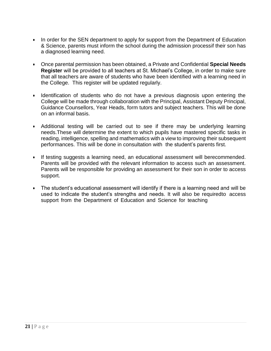- In order for the SEN department to apply for support from the Department of Education & Science, parents must inform the school during the admission processif their son has a diagnosed learning need.
- Once parental permission has been obtained, a Private and Confidential **Special Needs Register** will be provided to all teachers at St. Michael's College, in order to make sure that all teachers are aware of students who have been identified with a learning need in the College. This register will be updated regularly.
- Identification of students who do not have a previous diagnosis upon entering the College will be made through collaboration with the Principal, Assistant Deputy Principal, Guidance Counsellors, Year Heads, form tutors and subject teachers. This will be done on an informal basis.
- Additional testing will be carried out to see if there may be underlying learning needs.These will determine the extent to which pupils have mastered specific tasks in reading, intelligence, spelling and mathematics with a view to improving their subsequent performances. This will be done in consultation with the student's parents first.
- If testing suggests a learning need, an educational assessment will berecommended. Parents will be provided with the relevant information to access such an assessment. Parents will be responsible for providing an assessment for their son in order to access support.
- The student's educational assessment will identify if there is a learning need and will be used to indicate the student's strengths and needs. It will also be requiredto access support from the Department of Education and Science for teaching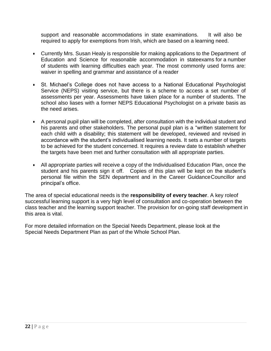support and reasonable accommodations in state examinations. It will also be required to apply for exemptions from Irish, which are based on a learning need.

- Currently Mrs. Susan Healy is responsible for making applications to the Department of Education and Science for reasonable accommodation in stateexams for a number of students with learning difficulties each year. The most commonly used forms are: waiver in spelling and grammar and assistance of a reader
- St. Michael's College does not have access to a National Educational Psychologist Service (NEPS) visiting service, but there is a scheme to access a set number of assessments per year. Assessments have taken place for a number of students. The school also liases with a former NEPS Educational Psychologist on a private basis as the need arises.
- A personal pupil plan will be completed, after consultation with the individual student and his parents and other stakeholders. The personal pupil plan is a "written statement for each child with a disability; this statement will be developed, reviewed and revised in accordance with the student's individualised learning needs. It sets a number of targets to be achieved for the student concerned. It requires a review date to establish whether the targets have been met and further consultation with all appropriate parties.
- All appropriate parties will receive a copy of the Individualised Education Plan, once the student and his parents sign it off. Copies of this plan will be kept on the student's personal file within the SEN department and in the Career GuidanceCouncillor and principal's office.

The area of special educational needs is the **responsibility of every teacher**. A key roleof successful learning support is a very high level of consultation and co-operation between the class teacher and the learning support teacher. The provision for on-going staff development in this area is vital.

For more detailed information on the Special Needs Department, please look at the Special Needs Department Plan as part of the Whole School Plan.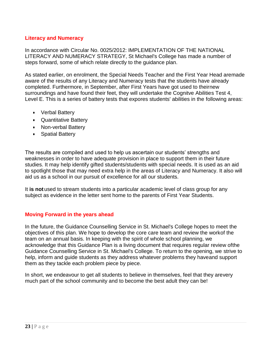### **Literacy and Numeracy**

In accordance with Circular No. 0025/2012: IMPLEMENTATION OF THE NATIONAL LITERACY AND NUMERACY STRATEGY, St Michael's College has made a number of steps forward, some of which relate directly to the guidance plan.

As stated earlier, on enrolment, the Special Needs Teacher and the First Year Head aremade aware of the results of any Literacy and Numeracy tests that the students have already completed. Furthermore, in September, after First Years have got used to theirnew surroundings and have found their feet, they will undertake the Cognitve Abilities Test 4, Level E. This is a series of battery tests that expores students' abilities in the following areas:

- Verbal Battery
- Quantitative Battery
- Non-verbal Battery
- Spatial Battery

The results are compiled and used to help us ascertain our students' strengths and weaknesses in order to have adequate provision in place to support them in their future studies. It may help identify gifted students/students with special needs. It is used as an aid to spotlight those that may need extra help in the areas of Literacy and Numeracy. It also will aid us as a school in our pursuit of excellence for all our students.

It **is not**used to stream students into a particular academic level of class group for any subject as evidence in the letter sent home to the parents of First Year Students.

### **Moving Forward in the years ahead**

In the future, the Guidance Counselling Service in St. Michael's College hopes to meet the objectives of this plan. We hope to develop the core care team and review the workof the team on an annual basis. In keeping with the spirit of whole school planning, we acknowledge that this Guidance Plan is a living document that requires regular review ofthe Guidance Counselling Service in St. Michael's College. To return to the opening, we strive to help, inform and guide students as they address whatever problems they haveand support them as they tackle each problem piece by piece.

In short, we endeavour to get all students to believe in themselves, feel that they arevery much part of the school community and to become the best adult they can be!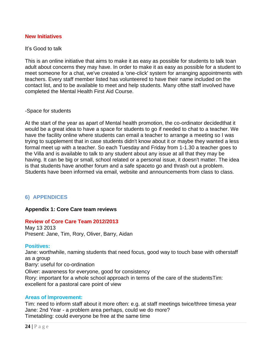### **New Initiatives**

#### It's Good to talk

This is an online initiative that aims to make it as easy as possible for students to talk toan adult about concerns they may have. In order to make it as easy as possible for a student to meet someone for a chat, we've created a 'one-click' system for arranging appointments with teachers. Every staff member listed has volunteered to have their name included on the contact list, and to be available to meet and help students. Many ofthe staff involved have completed the Mental Health First Aid Course.

#### -Space for students

At the start of the year as apart of Mental health promotion, the co-ordinator decidedthat it would be a great idea to have a space for students to go if needed to chat to a teacher. We have the facility online where students can email a teacher to arrange a meeting so I was trying to supplement that in case students didn't know about it or maybe they wanted a less formal meet up with a teacher. So each Tuesday and Friday from 1-1.30 a teacher goes to the Villa and is available to talk to any student about any issue at all that they may be having. It can be big or small, school related or a personal issue, it doesn't matter. The idea is that students have another forum and a safe spaceto go and thrash out a problem. Students have been informed via email, website and announcements from class to class.

### **6) APPENDICES**

#### **Appendix 1: Core Care team reviews**

#### **Review of Core Care Team 2012/2013**

May 13 2013 Present: Jane, Tim, Rory, Oliver, Barry, Aidan

#### **Positives:**

Jane: worthwhile, naming students that need focus, good way to touch base with otherstaff as a group Barry: useful for co-ordination Oliver: awareness for everyone, good for consistency Rory: important for a whole school approach in terms of the care of the studentsTim: excellent for a pastoral care point of view

#### **Areas of Improvement:**

Tim: need to inform staff about it more often: e.g. at staff meetings twice/three timesa year Jane: 2nd Year - a problem area perhaps, could we do more? Timetabling: could everyone be free at the same time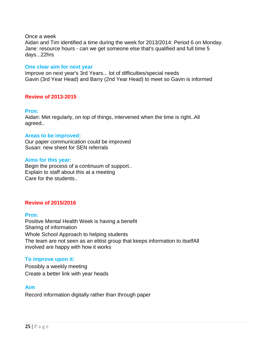#### Once a week

Aidan and Tim identified a time during the week for 2013/2014: Period 6 on Monday. Jane: resource hours - can we get someone else that's qualified and full time 5 days...22hrs

#### **One clear aim for next year**

Improve on next year's 3rd Years... lot of difficulties/special needs Gavin (3rd Year Head) and Barry (2nd Year Head) to meet so Gavin is informed

### **Review of 2013-2015**

#### **Pros:**

Aidan: Met regularly, on top of things, intervened when the time is right..All agreed..

#### **Areas to be improved:**

Our paper communication could be improved Susan: new sheet for SEN referrals

#### **Aims for this year:**

Begin the process of a continuum of support.. Explain to staff about this at a meeting Care for the students..

### **Review of 2015/2016**

### **Pros:**

Positive Mental Health Week is having a benefit Sharing of information Whole School Approach to helping students The team are not seen as an elitist group that keeps information to itselfAll involved are happy with how it works

### **To improve upon it:**

Possibly a weekly meeting Create a better link with year heads

### **Aim**

Record information digitally rather than through paper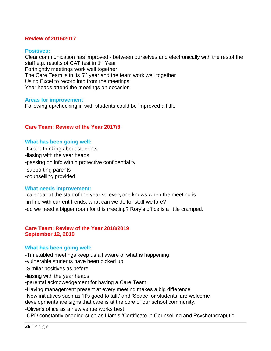### **Review of 2016/2017**

#### **Positives:**

Clear communication has improved - between ourselves and electronically with the restof the staff e.g. results of CAT test in 1<sup>st</sup> Year Fortnightly meetings work well together The Care Team is in its  $5<sup>th</sup>$  year and the team work well together Using Excel to record info from the meetings Year heads attend the meetings on occasion

#### **Areas for improvement**

Following up/checking in with students could be improved a little

#### **Care Team: Review of the Year 2017/8**

#### **What has been going well:**

-Group thinking about students -liasing with the year heads -passing on info within protective confidentiality -supporting parents -counselling provided

#### **What needs improvement:**

-calendar at the start of the year so everyone knows when the meeting is -in line with current trends, what can we do for staff welfare? -do we need a bigger room for this meeting? Rory's office is a little cramped.

#### **Care Team: Review of the Year 2018/2019 September 12, 2019**

#### **What has been going well:**

-Timetabled meetings keep us all aware of what is happening -vulnerable students have been picked up -Similar positives as before -liasing with the year heads -parental acknowedgement for having a Care Team -Having management present at every meeting makes a big difference -New initiatives such as 'It's good to talk' and 'Space for students' are welcome developments are signs that care is at the core of our school community. -Oliver's office as a new venue works best -CPD constantly ongoing such as Liam's 'Certificate in Counselling and Psychotheraputic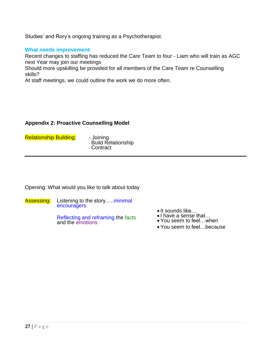Studies' and Rory's ongoing training as a Psychotherapist.

### **What needs improvement:**

Recent changes to staffing has reduced the Care Team to four - Liam who will train as AGC next Year may join our meetings

Should more upskilling be provided for all members of the Care Team re Counselling skills?

At staff meetings, we could outline the work we do more often.

### **Appendix 2: Proactive Counselling Model**

Relationship Building: - Joining

- Build Relationship - Contract

Opening: What would you like to talk about today

Assessing: Listening to the story....minimal encouragers

> Reflecting and reframing the facts and the emotions

- It sounds like...
- •I have a sense that...
- You seem to feel…when
- You seem to feel…because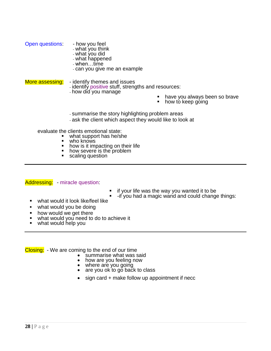|                 | - what you think<br>- what you did<br>- what happened<br>- when…time<br>- can you give me an example               |                                                              |
|-----------------|--------------------------------------------------------------------------------------------------------------------|--------------------------------------------------------------|
| More assessing: | - identify themes and issues<br>- identify positive stuff, strengths and resources:                                |                                                              |
|                 | - how did you manage                                                                                               | have you always been so brave<br>п<br>how to keep going<br>٠ |
|                 | - summarise the story highlighting problem areas<br>- ask the client which aspect they would like to look at       |                                                              |
|                 | evaluate the clients emotional state:<br>what support has he/she<br>who knows<br>how is it impacting on their life |                                                              |

• how severe is the problem<br>• scaling question scaling question

Addressing: - miracle question:

Open questions: - how you feel

- $\blacksquare$  if your life was the way you wanted it to be
	- -if you had a magic wand and could change things:
- what would it look like/feel like
- what would you be doing
- how would we get there
- what would you need to do to achieve it
- what would help you

Closing: - We are coming to the end of our time<br>summarise what was s

- Summarise what was said<br>• how are you feeling now
- how are you feeling now
- where are you going
- are you ok to go back to class
- $\bullet$  sign card  $+$  make follow up appointment if necc